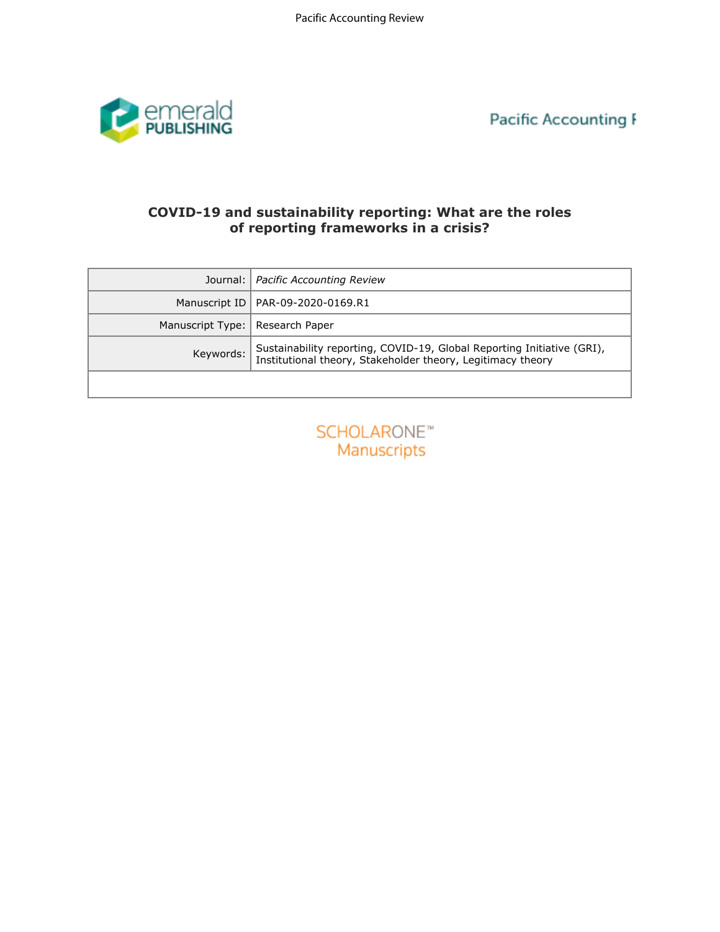

**Pacific Accounting I** 

# **COVID-19 and sustainability reporting: What are the roles of reporting frameworks in a crisis?**

| COVID-19 and sustainability reporting: What are the roles<br>of reporting frameworks in a crisis? |                                                                                                                                       |
|---------------------------------------------------------------------------------------------------|---------------------------------------------------------------------------------------------------------------------------------------|
| Journal:                                                                                          | Pacific Accounting Review                                                                                                             |
| Manuscript ID                                                                                     | PAR-09-2020-0169.R1                                                                                                                   |
| Manuscript Type:                                                                                  | Research Paper                                                                                                                        |
| Keywords:                                                                                         | Sustainability reporting, COVID-19, Global Reporting Initiative (GRI),<br>Institutional theory, Stakeholder theory, Legitimacy theory |
|                                                                                                   |                                                                                                                                       |
| SCHOLARONE <sup>®</sup><br><b>Manuscripts</b>                                                     |                                                                                                                                       |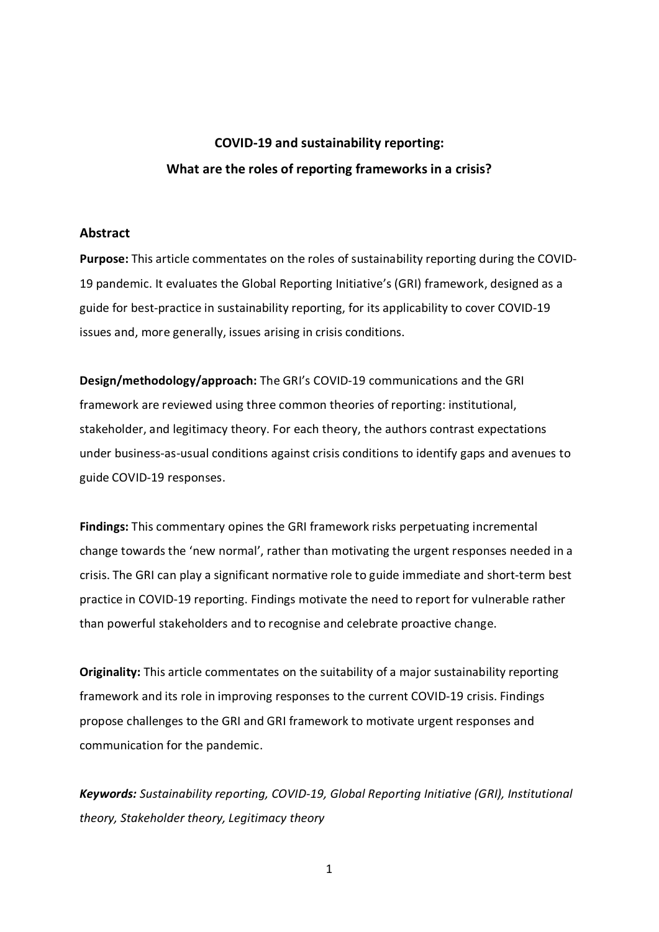## **COVID-19 and sustainability reporting: What are the roles of reporting frameworks in a crisis?**

#### **Abstract**

**Purpose:** This article commentates on the roles of sustainability reporting during the COVID-19 pandemic. It evaluates the Global Reporting Initiative's (GRI) framework, designed as a guide for best-practice in sustainability reporting, for its applicability to cover COVID-19 issues and, more generally, issues arising in crisis conditions.

**Design/methodology/approach:** The GRI's COVID-19 communications and the GRI framework are reviewed using three common theories of reporting: institutional, stakeholder, and legitimacy theory. For each theory, the authors contrast expectations under business-as-usual conditions against crisis conditions to identify gaps and avenues to guide COVID-19 responses.

**Findings:** This commentary opines the GRI framework risks perpetuating incremental change towards the 'new normal', rather than motivating the urgent responses needed in a crisis. The GRI can play a significant normative role to guide immediate and short-term best practice in COVID-19 reporting. Findings motivate the need to report for vulnerable rather than powerful stakeholders and to recognise and celebrate proactive change.

**Originality:** This article commentates on the suitability of a major sustainability reporting framework and its role in improving responses to the current COVID-19 crisis. Findings propose challenges to the GRI and GRI framework to motivate urgent responses and communication for the pandemic.

*Keywords: Sustainability reporting, COVID-19, Global Reporting Initiative (GRI), Institutional theory, Stakeholder theory, Legitimacy theory*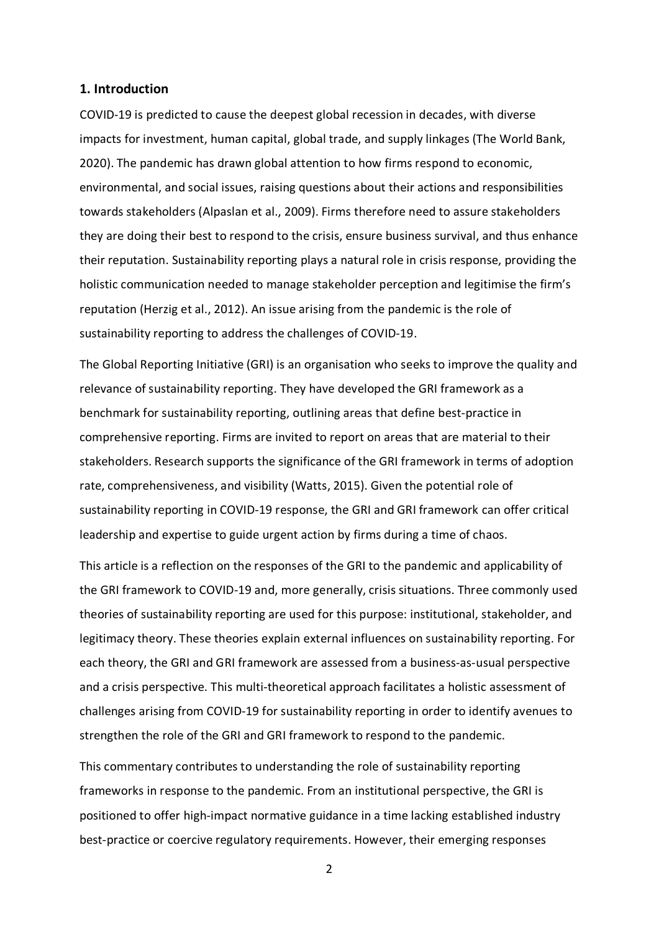#### **1. Introduction**

COVID-19 is predicted to cause the deepest global recession in decades, with diverse impacts for investment, human capital, global trade, and supply linkages (The World Bank, 2020). The pandemic has drawn global attention to how firms respond to economic, environmental, and social issues, raising questions about their actions and responsibilities towards stakeholders (Alpaslan et al., 2009). Firms therefore need to assure stakeholders they are doing their best to respond to the crisis, ensure business survival, and thus enhance their reputation. Sustainability reporting plays a natural role in crisis response, providing the holistic communication needed to manage stakeholder perception and legitimise the firm's reputation (Herzig et al., 2012). An issue arising from the pandemic is the role of sustainability reporting to address the challenges of COVID-19.

The Global Reporting Initiative (GRI) is an organisation who seeks to improve the quality and relevance of sustainability reporting. They have developed the GRI framework as a benchmark for sustainability reporting, outlining areas that define best-practice in comprehensive reporting. Firms are invited to report on areas that are material to their stakeholders. Research supports the significance of the GRI framework in terms of adoption rate, comprehensiveness, and visibility (Watts, 2015). Given the potential role of sustainability reporting in COVID-19 response, the GRI and GRI framework can offer critical leadership and expertise to guide urgent action by firms during a time of chaos.

This article is a reflection on the responses of the GRI to the pandemic and applicability of the GRI framework to COVID-19 and, more generally, crisis situations. Three commonly used theories of sustainability reporting are used for this purpose: institutional, stakeholder, and legitimacy theory. These theories explain external influences on sustainability reporting. For each theory, the GRI and GRI framework are assessed from a business-as-usual perspective and a crisis perspective. This multi-theoretical approach facilitates a holistic assessment of challenges arising from COVID-19 for sustainability reporting in order to identify avenues to strengthen the role of the GRI and GRI framework to respond to the pandemic.

This commentary contributes to understanding the role of sustainability reporting frameworks in response to the pandemic. From an institutional perspective, the GRI is positioned to offer high-impact normative guidance in a time lacking established industry best-practice or coercive regulatory requirements. However, their emerging responses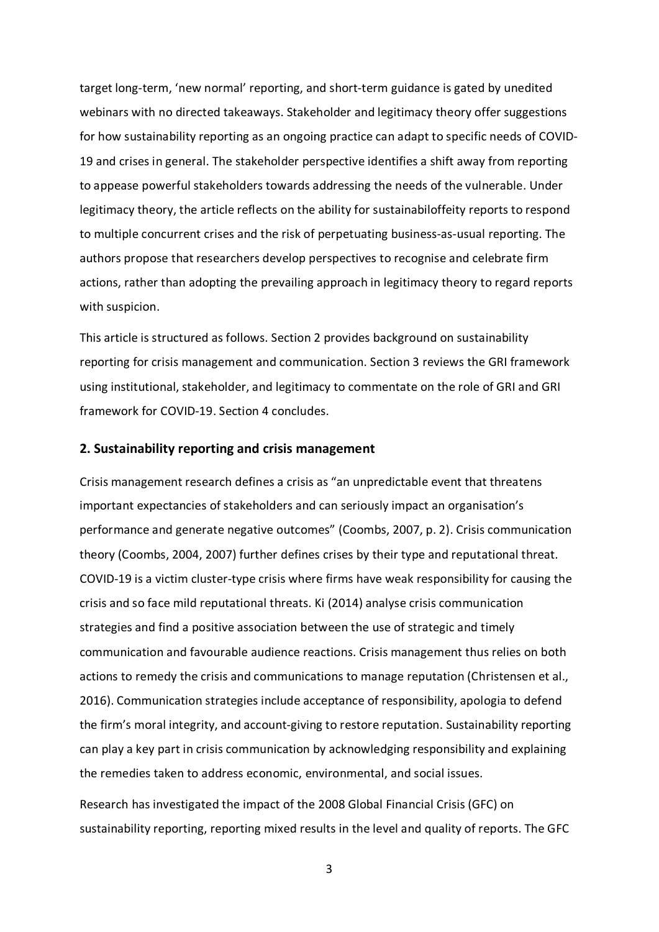target long-term, 'new normal' reporting, and short-term guidance is gated by unedited webinars with no directed takeaways. Stakeholder and legitimacy theory offer suggestions for how sustainability reporting as an ongoing practice can adapt to specific needs of COVID-19 and crises in general. The stakeholder perspective identifies a shift away from reporting to appease powerful stakeholders towards addressing the needs of the vulnerable. Under legitimacy theory, the article reflects on the ability for sustainabiloffeity reports to respond to multiple concurrent crises and the risk of perpetuating business-as-usual reporting. The authors propose that researchers develop perspectives to recognise and celebrate firm actions, rather than adopting the prevailing approach in legitimacy theory to regard reports with suspicion.

This article is structured as follows. Section 2 provides background on sustainability reporting for crisis management and communication. Section 3 reviews the GRI framework using institutional, stakeholder, and legitimacy to commentate on the role of GRI and GRI framework for COVID-19. Section 4 concludes.

#### **2. Sustainability reporting and crisis management**

Crisis management research defines a crisis as "an unpredictable event that threatens important expectancies of stakeholders and can seriously impact an organisation's performance and generate negative outcomes" (Coombs, 2007, p. 2). Crisis communication theory (Coombs, 2004, 2007) further defines crises by their type and reputational threat. COVID-19 is a victim cluster-type crisis where firms have weak responsibility for causing the crisis and so face mild reputational threats. Ki (2014) analyse crisis communication strategies and find a positive association between the use of strategic and timely communication and favourable audience reactions. Crisis management thus relies on both actions to remedy the crisis and communications to manage reputation (Christensen et al., 2016). Communication strategies include acceptance of responsibility, apologia to defend the firm's moral integrity, and account-giving to restore reputation. Sustainability reporting can play a key part in crisis communication by acknowledging responsibility and explaining the remedies taken to address economic, environmental, and social issues.

Research has investigated the impact of the 2008 Global Financial Crisis (GFC) on sustainability reporting, reporting mixed results in the level and quality of reports. The GFC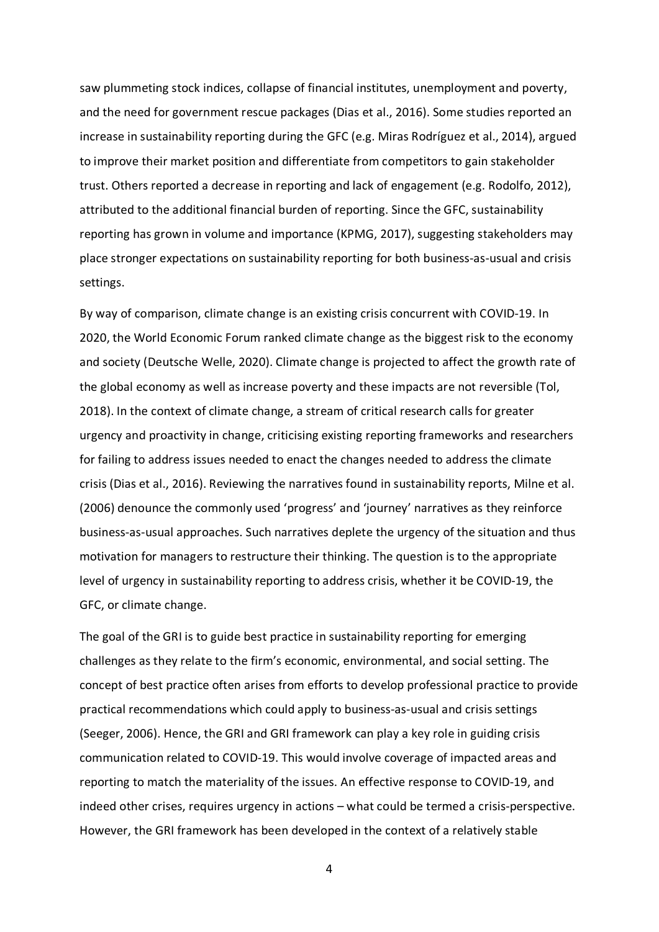saw plummeting stock indices, collapse of financial institutes, unemployment and poverty, and the need for government rescue packages (Dias et al., 2016). Some studies reported an increase in sustainability reporting during the GFC (e.g. Miras Rodríguez et al., 2014), argued to improve their market position and differentiate from competitors to gain stakeholder trust. Others reported a decrease in reporting and lack of engagement (e.g. Rodolfo, 2012), attributed to the additional financial burden of reporting. Since the GFC, sustainability reporting has grown in volume and importance (KPMG, 2017), suggesting stakeholders may place stronger expectations on sustainability reporting for both business-as-usual and crisis settings.

By way of comparison, climate change is an existing crisis concurrent with COVID-19. In 2020, the World Economic Forum ranked climate change as the biggest risk to the economy and society (Deutsche Welle, 2020). Climate change is projected to affect the growth rate of the global economy as well as increase poverty and these impacts are not reversible (Tol, 2018). In the context of climate change, a stream of critical research calls for greater urgency and proactivity in change, criticising existing reporting frameworks and researchers for failing to address issues needed to enact the changes needed to address the climate crisis (Dias et al., 2016). Reviewing the narratives found in sustainability reports, Milne et al. (2006) denounce the commonly used 'progress' and 'journey' narratives as they reinforce business-as-usual approaches. Such narratives deplete the urgency of the situation and thus motivation for managers to restructure their thinking. The question is to the appropriate level of urgency in sustainability reporting to address crisis, whether it be COVID-19, the GFC, or climate change.

The goal of the GRI is to guide best practice in sustainability reporting for emerging challenges as they relate to the firm's economic, environmental, and social setting. The concept of best practice often arises from efforts to develop professional practice to provide practical recommendations which could apply to business-as-usual and crisis settings (Seeger, 2006). Hence, the GRI and GRI framework can play a key role in guiding crisis communication related to COVID-19. This would involve coverage of impacted areas and reporting to match the materiality of the issues. An effective response to COVID-19, and indeed other crises, requires urgency in actions – what could be termed a crisis-perspective. However, the GRI framework has been developed in the context of a relatively stable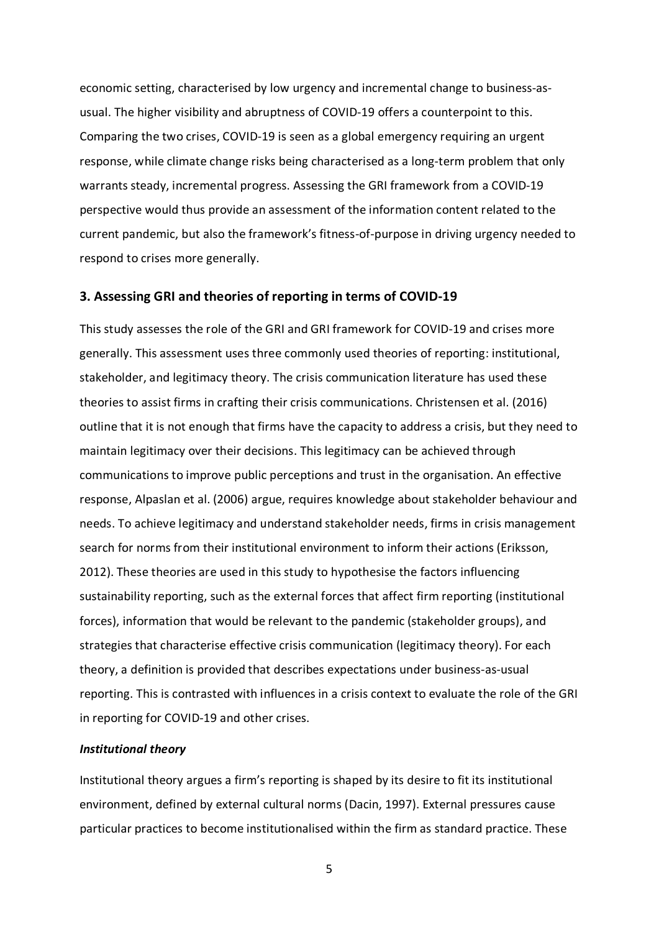economic setting, characterised by low urgency and incremental change to business-asusual. The higher visibility and abruptness of COVID-19 offers a counterpoint to this. Comparing the two crises, COVID-19 is seen as a global emergency requiring an urgent response, while climate change risks being characterised as a long-term problem that only warrants steady, incremental progress. Assessing the GRI framework from a COVID-19 perspective would thus provide an assessment of the information content related to the current pandemic, but also the framework's fitness-of-purpose in driving urgency needed to respond to crises more generally.

#### **3. Assessing GRI and theories of reporting in terms of COVID-19**

This study assesses the role of the GRI and GRI framework for COVID-19 and crises more generally. This assessment uses three commonly used theories of reporting: institutional, stakeholder, and legitimacy theory. The crisis communication literature has used these theories to assist firms in crafting their crisis communications. Christensen et al. (2016) outline that it is not enough that firms have the capacity to address a crisis, but they need to maintain legitimacy over their decisions. This legitimacy can be achieved through communications to improve public perceptions and trust in the organisation. An effective response, Alpaslan et al. (2006) argue, requires knowledge about stakeholder behaviour and needs. To achieve legitimacy and understand stakeholder needs, firms in crisis management search for norms from their institutional environment to inform their actions (Eriksson, 2012). These theories are used in this study to hypothesise the factors influencing sustainability reporting, such as the external forces that affect firm reporting (institutional forces), information that would be relevant to the pandemic (stakeholder groups), and strategies that characterise effective crisis communication (legitimacy theory). For each theory, a definition is provided that describes expectations under business-as-usual reporting. This is contrasted with influences in a crisis context to evaluate the role of the GRI in reporting for COVID-19 and other crises.

#### *Institutional theory*

Institutional theory argues a firm's reporting is shaped by its desire to fit its institutional environment, defined by external cultural norms (Dacin, 1997). External pressures cause particular practices to become institutionalised within the firm as standard practice. These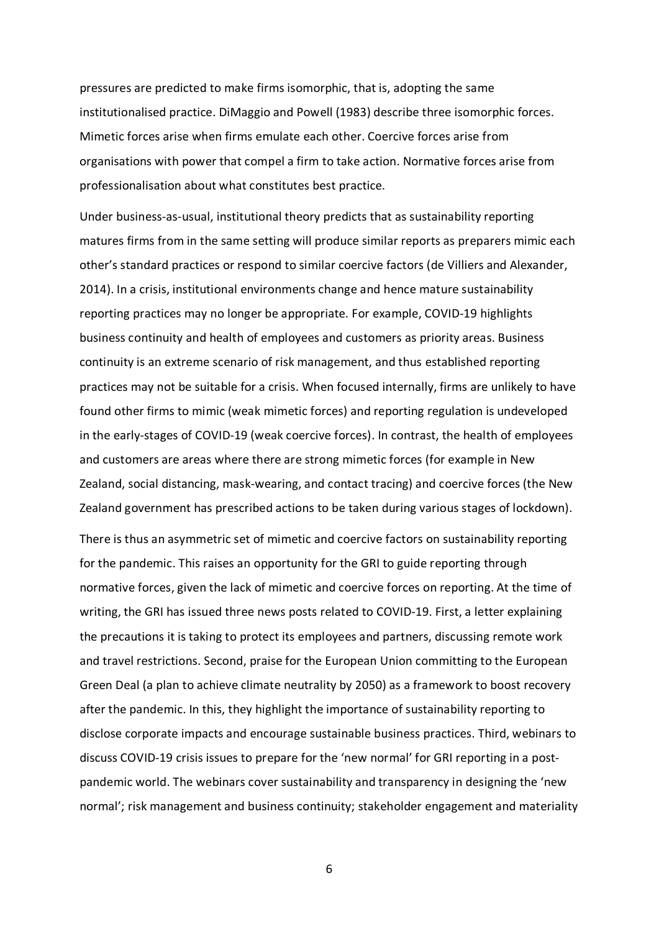pressures are predicted to make firms isomorphic, that is, adopting the same institutionalised practice. DiMaggio and Powell (1983) describe three isomorphic forces. Mimetic forces arise when firms emulate each other. Coercive forces arise from organisations with power that compel a firm to take action. Normative forces arise from professionalisation about what constitutes best practice.

Under business-as-usual, institutional theory predicts that as sustainability reporting matures firms from in the same setting will produce similar reports as preparers mimic each other's standard practices or respond to similar coercive factors (de Villiers and Alexander, 2014). In a crisis, institutional environments change and hence mature sustainability reporting practices may no longer be appropriate. For example, COVID-19 highlights business continuity and health of employees and customers as priority areas. Business continuity is an extreme scenario of risk management, and thus established reporting practices may not be suitable for a crisis. When focused internally, firms are unlikely to have found other firms to mimic (weak mimetic forces) and reporting regulation is undeveloped in the early-stages of COVID-19 (weak coercive forces). In contrast, the health of employees and customers are areas where there are strong mimetic forces (for example in New Zealand, social distancing, mask-wearing, and contact tracing) and coercive forces (the New Zealand government has prescribed actions to be taken during various stages of lockdown).

There is thus an asymmetric set of mimetic and coercive factors on sustainability reporting for the pandemic. This raises an opportunity for the GRI to guide reporting through normative forces, given the lack of mimetic and coercive forces on reporting. At the time of writing, the GRI has issued three news posts related to COVID-19. First, a letter explaining the precautions it is taking to protect its employees and partners, discussing remote work and travel restrictions. Second, praise for the European Union committing to the European Green Deal (a plan to achieve climate neutrality by 2050) as a framework to boost recovery after the pandemic. In this, they highlight the importance of sustainability reporting to disclose corporate impacts and encourage sustainable business practices. Third, webinars to discuss COVID-19 crisis issues to prepare for the 'new normal' for GRI reporting in a postpandemic world. The webinars cover sustainability and transparency in designing the 'new normal'; risk management and business continuity; stakeholder engagement and materiality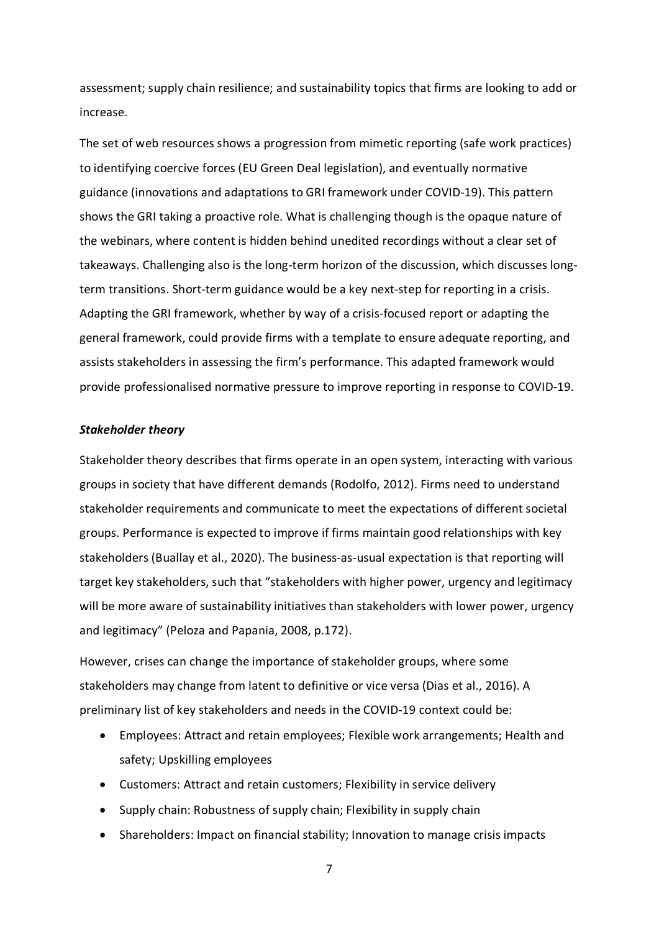assessment; supply chain resilience; and sustainability topics that firms are looking to add or increase.

The set of web resources shows a progression from mimetic reporting (safe work practices) to identifying coercive forces (EU Green Deal legislation), and eventually normative guidance (innovations and adaptations to GRI framework under COVID-19). This pattern shows the GRI taking a proactive role. What is challenging though is the opaque nature of the webinars, where content is hidden behind unedited recordings without a clear set of takeaways. Challenging also is the long-term horizon of the discussion, which discusses longterm transitions. Short-term guidance would be a key next-step for reporting in a crisis. Adapting the GRI framework, whether by way of a crisis-focused report or adapting the general framework, could provide firms with a template to ensure adequate reporting, and assists stakeholders in assessing the firm's performance. This adapted framework would provide professionalised normative pressure to improve reporting in response to COVID-19.

#### *Stakeholder theory*

Stakeholder theory describes that firms operate in an open system, interacting with various groups in society that have different demands (Rodolfo, 2012). Firms need to understand stakeholder requirements and communicate to meet the expectations of different societal groups. Performance is expected to improve if firms maintain good relationships with key stakeholders (Buallay et al., 2020). The business-as-usual expectation is that reporting will target key stakeholders, such that "stakeholders with higher power, urgency and legitimacy will be more aware of sustainability initiatives than stakeholders with lower power, urgency and legitimacy" (Peloza and Papania, 2008, p.172).

However, crises can change the importance of stakeholder groups, where some stakeholders may change from latent to definitive or vice versa (Dias et al., 2016). A preliminary list of key stakeholders and needs in the COVID-19 context could be:

- Employees: Attract and retain employees; Flexible work arrangements; Health and safety; Upskilling employees
- Customers: Attract and retain customers; Flexibility in service delivery
- Supply chain: Robustness of supply chain; Flexibility in supply chain
- Shareholders: Impact on financial stability; Innovation to manage crisis impacts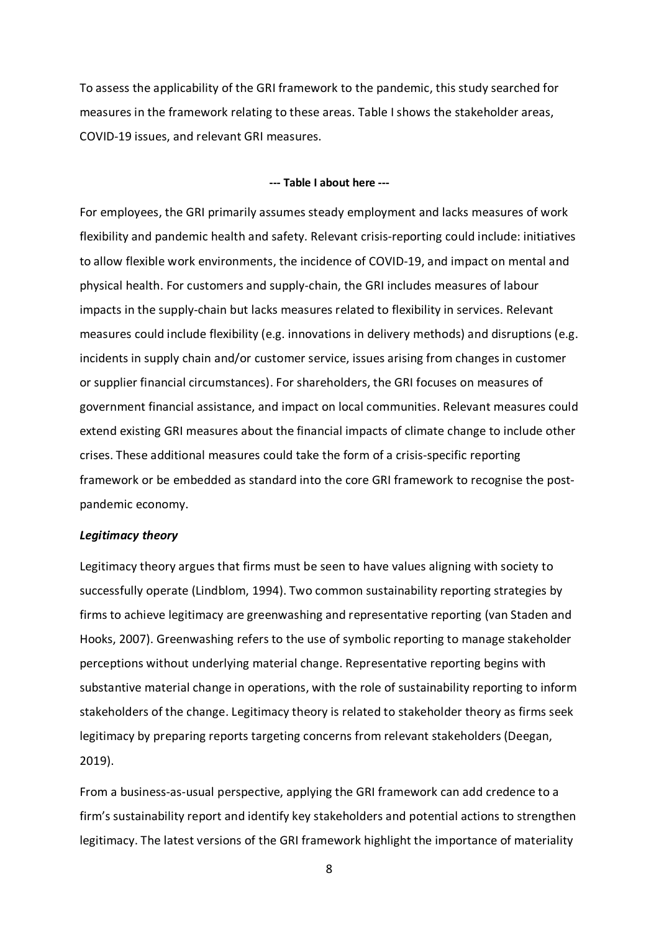To assess the applicability of the GRI framework to the pandemic, this study searched for measures in the framework relating to these areas. Table I shows the stakeholder areas, COVID-19 issues, and relevant GRI measures.

#### **--- Table I about here ---**

For employees, the GRI primarily assumes steady employment and lacks measures of work flexibility and pandemic health and safety. Relevant crisis-reporting could include: initiatives to allow flexible work environments, the incidence of COVID-19, and impact on mental and physical health. For customers and supply-chain, the GRI includes measures of labour impacts in the supply-chain but lacks measures related to flexibility in services. Relevant measures could include flexibility (e.g. innovations in delivery methods) and disruptions (e.g. incidents in supply chain and/or customer service, issues arising from changes in customer or supplier financial circumstances). For shareholders, the GRI focuses on measures of government financial assistance, and impact on local communities. Relevant measures could extend existing GRI measures about the financial impacts of climate change to include other crises. These additional measures could take the form of a crisis-specific reporting framework or be embedded as standard into the core GRI framework to recognise the postpandemic economy.

#### *Legitimacy theory*

Legitimacy theory argues that firms must be seen to have values aligning with society to successfully operate (Lindblom, 1994). Two common sustainability reporting strategies by firms to achieve legitimacy are greenwashing and representative reporting (van Staden and Hooks, 2007). Greenwashing refers to the use of symbolic reporting to manage stakeholder perceptions without underlying material change. Representative reporting begins with substantive material change in operations, with the role of sustainability reporting to inform stakeholders of the change. Legitimacy theory is related to stakeholder theory as firms seek legitimacy by preparing reports targeting concerns from relevant stakeholders (Deegan, 2019).

From a business-as-usual perspective, applying the GRI framework can add credence to a firm's sustainability report and identify key stakeholders and potential actions to strengthen legitimacy. The latest versions of the GRI framework highlight the importance of materiality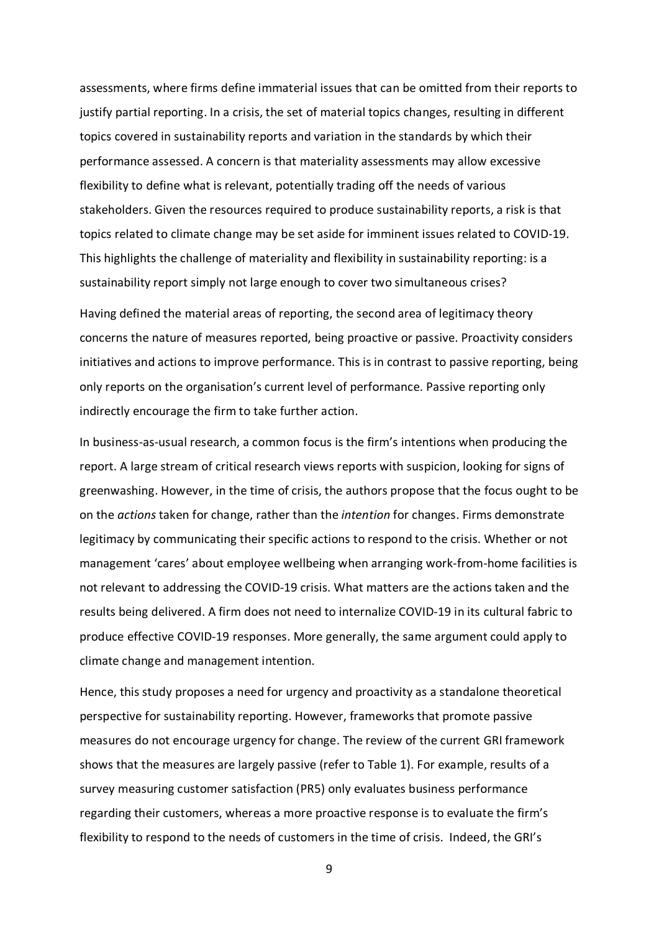assessments, where firms define immaterial issues that can be omitted from their reports to justify partial reporting. In a crisis, the set of material topics changes, resulting in different topics covered in sustainability reports and variation in the standards by which their performance assessed. A concern is that materiality assessments may allow excessive flexibility to define what is relevant, potentially trading off the needs of various stakeholders. Given the resources required to produce sustainability reports, a risk is that topics related to climate change may be set aside for imminent issues related to COVID-19. This highlights the challenge of materiality and flexibility in sustainability reporting: is a sustainability report simply not large enough to cover two simultaneous crises?

Having defined the material areas of reporting, the second area of legitimacy theory concerns the nature of measures reported, being proactive or passive. Proactivity considers initiatives and actions to improve performance. This is in contrast to passive reporting, being only reports on the organisation's current level of performance. Passive reporting only indirectly encourage the firm to take further action.

In business-as-usual research, a common focus is the firm's intentions when producing the report. A large stream of critical research views reports with suspicion, looking for signs of greenwashing. However, in the time of crisis, the authors propose that the focus ought to be on the *actions* taken for change, rather than the *intention* for changes. Firms demonstrate legitimacy by communicating their specific actions to respond to the crisis. Whether or not management 'cares' about employee wellbeing when arranging work-from-home facilities is not relevant to addressing the COVID-19 crisis. What matters are the actions taken and the results being delivered. A firm does not need to internalize COVID-19 in its cultural fabric to produce effective COVID-19 responses. More generally, the same argument could apply to climate change and management intention.

Hence, this study proposes a need for urgency and proactivity as a standalone theoretical perspective for sustainability reporting. However, frameworks that promote passive measures do not encourage urgency for change. The review of the current GRI framework shows that the measures are largely passive (refer to Table 1). For example, results of a survey measuring customer satisfaction (PR5) only evaluates business performance regarding their customers, whereas a more proactive response is to evaluate the firm's flexibility to respond to the needs of customers in the time of crisis. Indeed, the GRI's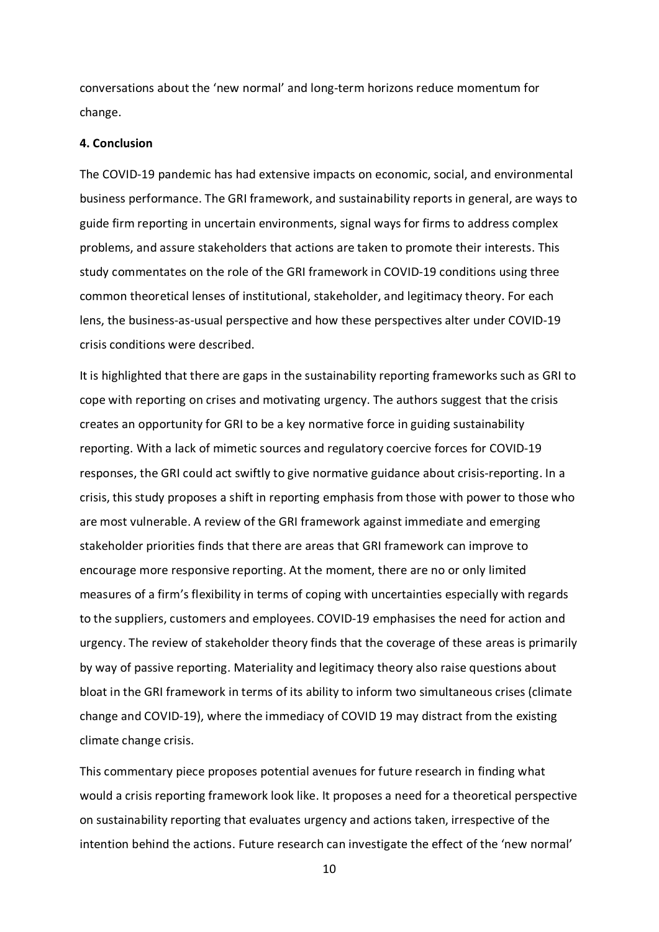conversations about the 'new normal' and long-term horizons reduce momentum for change.

#### **4. Conclusion**

The COVID-19 pandemic has had extensive impacts on economic, social, and environmental business performance. The GRI framework, and sustainability reports in general, are ways to guide firm reporting in uncertain environments, signal ways for firms to address complex problems, and assure stakeholders that actions are taken to promote their interests. This study commentates on the role of the GRI framework in COVID-19 conditions using three common theoretical lenses of institutional, stakeholder, and legitimacy theory. For each lens, the business-as-usual perspective and how these perspectives alter under COVID-19 crisis conditions were described.

It is highlighted that there are gaps in the sustainability reporting frameworks such as GRI to cope with reporting on crises and motivating urgency. The authors suggest that the crisis creates an opportunity for GRI to be a key normative force in guiding sustainability reporting. With a lack of mimetic sources and regulatory coercive forces for COVID-19 responses, the GRI could act swiftly to give normative guidance about crisis-reporting. In a crisis, this study proposes a shift in reporting emphasis from those with power to those who are most vulnerable. A review of the GRI framework against immediate and emerging stakeholder priorities finds that there are areas that GRI framework can improve to encourage more responsive reporting. At the moment, there are no or only limited measures of a firm's flexibility in terms of coping with uncertainties especially with regards to the suppliers, customers and employees. COVID-19 emphasises the need for action and urgency. The review of stakeholder theory finds that the coverage of these areas is primarily by way of passive reporting. Materiality and legitimacy theory also raise questions about bloat in the GRI framework in terms of its ability to inform two simultaneous crises (climate change and COVID-19), where the immediacy of COVID 19 may distract from the existing climate change crisis.

This commentary piece proposes potential avenues for future research in finding what would a crisis reporting framework look like. It proposes a need for a theoretical perspective on sustainability reporting that evaluates urgency and actions taken, irrespective of the intention behind the actions. Future research can investigate the effect of the 'new normal'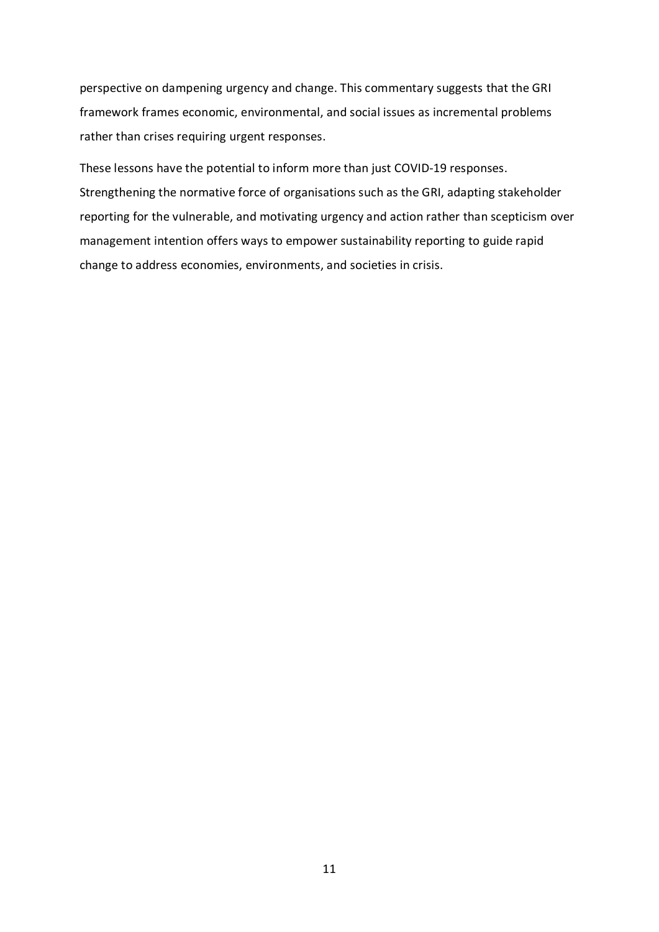perspective on dampening urgency and change. This commentary suggests that the GRI framework frames economic, environmental, and social issues as incremental problems rather than crises requiring urgent responses.

These lessons have the potential to inform more than just COVID-19 responses. Strengthening the normative force of organisations such as the GRI, adapting stakeholder reporting for the vulnerable, and motivating urgency and action rather than scepticism over management intention offers ways to empower sustainability reporting to guide rapid change to address economies, environments, and societies in crisis.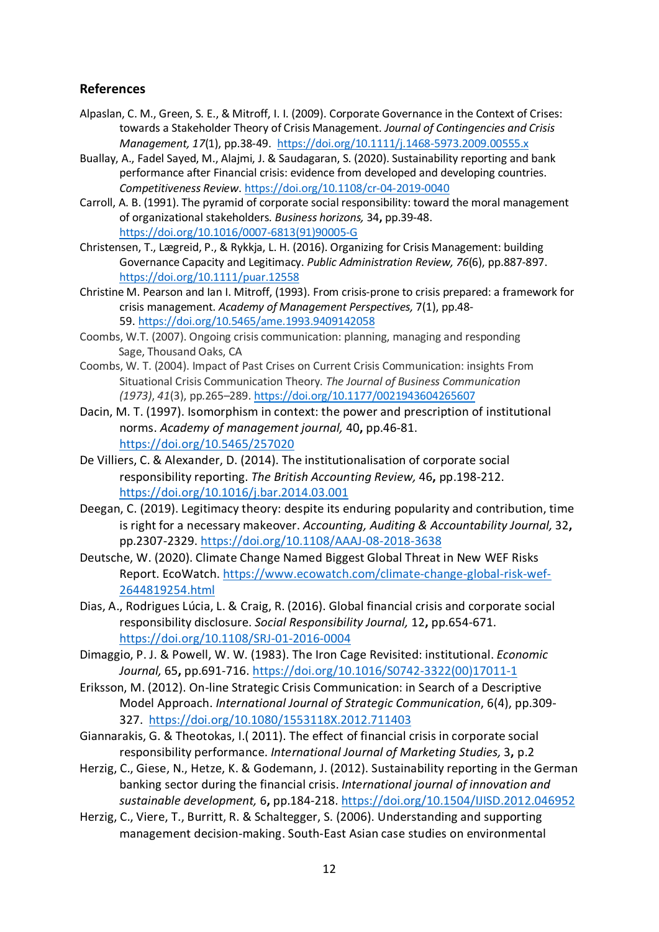### **References**

- Alpaslan, C. M., Green, S. E., & Mitroff, I. I. (2009). Corporate Governance in the Context of Crises: towards a Stakeholder Theory of Crisis Management. *Journal of Contingencies and Crisis Management, 17*(1), pp.38-49.<https://doi.org/10.1111/j.1468-5973.2009.00555.x>
- Buallay, A., Fadel Sayed, M., Alajmi, J. & Saudagaran, S. (2020). Sustainability reporting and bank performance after Financial crisis: evidence from developed and developing countries. *Competitiveness Review*. <https://doi.org/10.1108/cr-04-2019-0040>
- Carroll, A. B. (1991). The pyramid of corporate social responsibility: toward the moral management of organizational stakeholders. *Business horizons,* 34**,** pp.39-48. [https://doi.org/10.1016/0007-6813\(91\)90005-G](https://doi.org/10.1016/0007-6813(91)90005-G)
- Christensen, T., Lægreid, P., & Rykkja, L. H. (2016). Organizing for Crisis Management: building Governance Capacity and Legitimacy. *Public Administration Review, 76*(6), pp.887-897. <https://doi.org/10.1111/puar.12558>
- Christine M. Pearson and Ian I. Mitroff, (1993). [From crisis-prone to crisis prepared: a framework for](https://journals.aom.org/doi/abs/10.5465/ame.1993.9409142058)  [crisis management.](https://journals.aom.org/doi/abs/10.5465/ame.1993.9409142058) *Academy of Management Perspectives,* 7(1), pp.48- 59. <https://doi.org/10.5465/ame.1993.9409142058>
- Coombs, W.T. (2007). Ongoing crisis communication: planning, managing and responding Sage, Thousand Oaks, CA
- Coombs, W. T. (2004). Impact of Past Crises on Current Crisis Communication: insights From Situational Crisis Communication Theory. *The Journal of Business Communication (1973)*, *41*(3), pp.265–289. <https://doi.org/10.1177/0021943604265607>
- Dacin, M. T. (1997). Isomorphism in context: the power and prescription of institutional norms. *Academy of management journal,* 40**,** pp.46-81. <https://doi.org/10.5465/257020>
- De Villiers, C. & Alexander, D. (2014). The institutionalisation of corporate social responsibility reporting. *The British Accounting Review,* 46**,** pp.198-212. <https://doi.org/10.1016/j.bar.2014.03.001>
- Deegan, C. (2019). Legitimacy theory: despite its enduring popularity and contribution, time is right for a necessary makeover. *Accounting, Auditing & Accountability Journal,* 32**,** pp.2307-2329. <https://doi.org/10.1108/AAAJ-08-2018-3638>
- Deutsche, W. (2020). Climate Change Named Biggest Global Threat in New WEF Risks Report. EcoWatch. [https://www.ecowatch.com/climate-change-global-risk-wef-](https://www.ecowatch.com/climate-change-global-risk-wef-2644819254.html)[2644819254.html](https://www.ecowatch.com/climate-change-global-risk-wef-2644819254.html)
- Dias, A., Rodrigues Lúcia, L. & Craig, R. (2016). Global financial crisis and corporate social responsibility disclosure. *Social Responsibility Journal,* 12**,** pp.654-671. <https://doi.org/10.1108/SRJ-01-2016-0004>
- Dimaggio, P. J. & Powell, W. W. (1983). The Iron Cage Revisited: institutional. *Economic Journal,* 65**,** pp.691-716. [https://doi.org/10.1016/S0742-3322\(00\)17011-1](https://doi.org/10.1016/S0742-3322(00)17011-1)
- Eriksson, M. (2012). On-line Strategic Crisis Communication: in Search of a Descriptive Model Approach. *International Journal of Strategic Communication*, 6(4), pp.309- 327. <https://doi.org/10.1080/1553118X.2012.711403>
- Giannarakis, G. & Theotokas, I.( 2011). The effect of financial crisis in corporate social responsibility performance. *International Journal of Marketing Studies,* 3**,** p.2
- Herzig, C., Giese, N., Hetze, K. & Godemann, J. (2012). Sustainability reporting in the German banking sector during the financial crisis. *International journal of innovation and sustainable development,* 6**,** pp.184-218. <https://doi.org/10.1504/IJISD.2012.046952>
- Herzig, C., Viere, T., Burritt, R. & Schaltegger, S. (2006). Understanding and supporting management decision-making. South-East Asian case studies on environmental